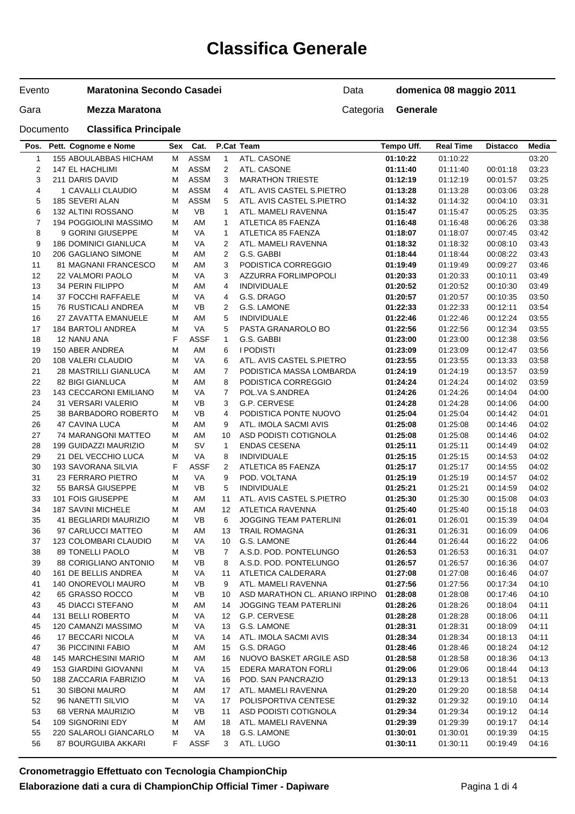# **Classifica Generale**

#### Evento **Maratonina Secondo Casadei**

## Gara **Mezza Maratona Categoria Generale**

Data **domenica 08 maggio 2011**

Documento **Classifica Principale**

| Pos.                    | Pett. Cognome e Nome         | Sex    | Cat.        |                | P.Cat Team                     | Tempo Uff. | <b>Real Time</b> | <b>Distacco</b> | Media |
|-------------------------|------------------------------|--------|-------------|----------------|--------------------------------|------------|------------------|-----------------|-------|
| $\mathbf{1}$            | 155 ABOULABBAS HICHAM        | M      | <b>ASSM</b> | $\mathbf{1}$   | ATL. CASONE                    | 01:10:22   | 01:10:22         |                 | 03:20 |
| $\overline{\mathbf{c}}$ | <b>147 EL HACHLIMI</b>       | М      | <b>ASSM</b> | $\overline{2}$ | ATL. CASONE                    | 01:11:40   | 01:11:40         | 00:01:18        | 03:23 |
| 3                       | 211 DARIS DAVID              | м      | <b>ASSM</b> | 3              | <b>MARATHON TRIESTE</b>        | 01:12:19   | 01:12:19         | 00:01:57        | 03:25 |
| 4                       | 1 CAVALLI CLAUDIO            | M      | <b>ASSM</b> | 4              | ATL. AVIS CASTEL S.PIETRO      | 01:13:28   | 01:13:28         | 00:03:06        | 03:28 |
| 5                       | 185 SEVERI ALAN              | M      | <b>ASSM</b> | 5              | ATL. AVIS CASTEL S.PIETRO      | 01:14:32   | 01:14:32         | 00:04:10        | 03:31 |
| 6                       | 132 ALTINI ROSSANO           | м      | <b>VB</b>   | $\mathbf{1}$   | ATL. MAMELI RAVENNA            | 01:15:47   | 01:15:47         | 00:05:25        | 03:35 |
| $\overline{7}$          | 194 POGGIOLINI MASSIMO       | M      | AM          | $\mathbf{1}$   | ATLETICA 85 FAENZA             | 01:16:48   | 01:16:48         | 00:06:26        | 03:38 |
| 8                       | 9 GORINI GIUSEPPE            | М      | VA          | $\mathbf{1}$   | ATLETICA 85 FAENZA             | 01:18:07   | 01:18:07         | 00:07:45        | 03:42 |
| 9                       | <b>186 DOMINICI GIANLUCA</b> | м      | VA          | $\overline{2}$ | ATL. MAMELI RAVENNA            | 01:18:32   | 01:18:32         | 00:08:10        | 03:43 |
|                         |                              |        | AM          | $\overline{2}$ | G.S. GABBI                     |            |                  |                 |       |
| 10                      | 206 GAGLIANO SIMONE          | M      |             |                |                                | 01:18:44   | 01:18:44         | 00:08:22        | 03:43 |
| 11                      | <b>81 MAGNANI FRANCESCO</b>  | M      | AM          | 3              | PODISTICA CORREGGIO            | 01:19:49   | 01:19:49         | 00:09:27        | 03:46 |
| 12                      | <b>22 VALMORI PAOLO</b>      | м      | VA          | 3              | AZZURRA FORLIMPOPOLI           | 01:20:33   | 01:20:33         | 00:10:11        | 03:49 |
| 13                      | 34 PERIN FILIPPO             | М      | AM          | 4              | <b>INDIVIDUALE</b>             | 01:20:52   | 01:20:52         | 00:10:30        | 03:49 |
| 14                      | 37 FOCCHI RAFFAELE           | М      | VA          | $\overline{4}$ | G.S. DRAGO                     | 01:20:57   | 01:20:57         | 00:10:35        | 03:50 |
| 15                      | 76 RUSTICALI ANDREA          | м      | <b>VB</b>   | $\overline{2}$ | G.S. LAMONE                    | 01:22:33   | 01:22:33         | 00:12:11        | 03:54 |
| 16                      | 27 ZAVATTA EMANUELE          | M      | AM          | 5              | <b>INDIVIDUALE</b>             | 01:22:46   | 01:22:46         | 00:12:24        | 03:55 |
| 17                      | 184 BARTOLI ANDREA           | M      | VA          | 5              | PASTA GRANAROLO BO             | 01:22:56   | 01:22:56         | 00:12:34        | 03:55 |
| 18                      | 12 NANU ANA                  | F      | <b>ASSF</b> | $\mathbf{1}$   | G.S. GABBI                     | 01:23:00   | 01:23:00         | 00:12:38        | 03:56 |
| 19                      | 150 ABER ANDREA              | M      | AM          | 6              | <b>I PODISTI</b>               | 01:23:09   | 01:23:09         | 00:12:47        | 03:56 |
| 20                      | 108 VALERI CLAUDIO           | М      | VA          | 6              | ATL. AVIS CASTEL S.PIETRO      | 01:23:55   | 01:23:55         | 00:13:33        | 03:58 |
| 21                      | <b>28 MASTRILLI GIANLUCA</b> | м      | AM          | $\overline{7}$ | PODISTICA MASSA LOMBARDA       | 01:24:19   | 01:24:19         | 00:13:57        | 03:59 |
| 22                      | <b>82 BIGI GIANLUCA</b>      | M      | AM          | 8              | PODISTICA CORREGGIO            | 01:24:24   | 01:24:24         | 00:14:02        | 03:59 |
| 23                      | 143 CECCARONI EMILIANO       | М      | VA          | $\overline{7}$ | POL.VA S.ANDREA                | 01:24:26   | 01:24:26         | 00:14:04        | 04:00 |
| 24                      | 31 VERSARI VALERIO           | м      | <b>VB</b>   | 3              | G.P. CERVESE                   | 01:24:28   | 01:24:28         | 00:14:06        | 04:00 |
| 25                      | 38 BARBADORO ROBERTO         | М      | <b>VB</b>   | 4              | PODISTICA PONTE NUOVO          | 01:25:04   | 01:25:04         | 00:14:42        | 04:01 |
| 26                      | 47 CAVINA LUCA               | М      | AM          | 9              | ATL. IMOLA SACMI AVIS          | 01:25:08   | 01:25:08         | 00:14:46        | 04:02 |
| 27                      | 74 MARANGONI MATTEO          | м      | AM          | 10             | ASD PODISTI COTIGNOLA          | 01:25:08   | 01:25:08         | 00:14:46        | 04:02 |
| 28                      | 199 GUIDAZZI MAURIZIO        | M      | <b>SV</b>   | $\mathbf{1}$   | <b>ENDAS CESENA</b>            | 01:25:11   | 01:25:11         | 00:14:49        | 04:02 |
|                         |                              |        |             |                |                                |            |                  |                 |       |
| 29                      | 21 DEL VECCHIO LUCA          | М<br>F | VA          | 8              | <b>INDIVIDUALE</b>             | 01:25:15   | 01:25:15         | 00:14:53        | 04:02 |
| 30                      | 193 SAVORANA SILVIA          |        | <b>ASSF</b> | $\overline{2}$ | ATLETICA 85 FAENZA             | 01:25:17   | 01:25:17         | 00:14:55        | 04:02 |
| 31                      | 23 FERRARO PIETRO            | M      | VA          | 9              | POD. VOLTANA                   | 01:25:19   | 01:25:19         | 00:14:57        | 04:02 |
| 32                      | 55 BARSA GIUSEPPE            | М      | <b>VB</b>   | 5              | <b>INDIVIDUALE</b>             | 01:25:21   | 01:25:21         | 00:14:59        | 04:02 |
| 33                      | 101 FOIS GIUSEPPE            | м      | AM          | 11             | ATL. AVIS CASTEL S.PIETRO      | 01:25:30   | 01:25:30         | 00:15:08        | 04:03 |
| 34                      | 187 SAVINI MICHELE           | M      | AM          | 12             | <b>ATLETICA RAVENNA</b>        | 01:25:40   | 01:25:40         | 00:15:18        | 04:03 |
| 35                      | <b>41 BEGLIARDI MAURIZIO</b> | М      | <b>VB</b>   | 6              | <b>JOGGING TEAM PATERLINI</b>  | 01:26:01   | 01:26:01         | 00:15:39        | 04:04 |
| 36                      | 97 CARLUCCI MATTEO           | М      | AM          | 13             | <b>TRAIL ROMAGNA</b>           | 01:26:31   | 01:26:31         | 00:16:09        | 04:06 |
| 37                      | 123 COLOMBARI CLAUDIO        | М      | VA          | 10             | G.S. LAMONE                    | 01:26:44   | 01:26:44         | 00:16:22        | 04:06 |
| 38                      | <b>89 TONELLI PAOLO</b>      | M      | VB          | $\overline{7}$ | A.S.D. POD. PONTELUNGO         | 01:26:53   | 01:26:53         | 00:16:31        | 04:07 |
| 39                      | <b>88 CORIGLIANO ANTONIO</b> | M      | <b>VB</b>   | 8              | A.S.D. POD. PONTELUNGO         | 01:26:57   | 01:26:57         | 00:16:36        | 04:07 |
| 40                      | 161 DE BELLIS ANDREA         | M      | VA          | 11             | ATLETICA CALDERARA             | 01:27:08   | 01:27:08         | 00:16:46        | 04:07 |
| 41                      | 140 ONOREVOLI MAURO          | M      | VB          | 9              | ATL. MAMELI RAVENNA            | 01:27:56   | 01:27:56         | 00:17:34        | 04:10 |
| 42                      | 65 GRASSO ROCCO              | M      | VB          | 10             | ASD MARATHON CL. ARIANO IRPINO | 01:28:08   | 01:28:08         | 00:17:46        | 04:10 |
| 43                      | <b>45 DIACCI STEFANO</b>     | M      | AM          | 14             | JOGGING TEAM PATERLINI         | 01:28:26   | 01:28:26         | 00:18:04        | 04:11 |
| 44                      | 131 BELLI ROBERTO            | M      | VA          | 12             | G.P. CERVESE                   | 01:28:28   | 01:28:28         | 00:18:06        | 04:11 |
| 45                      | 120 CAMANZI MASSIMO          | M      | VA          | 13             | G.S. LAMONE                    | 01:28:31   | 01:28:31         | 00:18:09        | 04:11 |
| 46                      | 17 BECCARI NICOLA            | M      | VA          | 14             | ATL. IMOLA SACMI AVIS          | 01:28:34   | 01:28:34         | 00:18:13        | 04:11 |
| 47                      | 36 PICCININI FABIO           | M      | ΑM          | 15             | G.S. DRAGO                     | 01:28:46   | 01:28:46         | 00:18:24        | 04:12 |
| 48                      | 145 MARCHESINI MARIO         | M      | AM          | 16             | NUOVO BASKET ARGILE ASD        | 01:28:58   | 01:28:58         | 00:18:36        | 04:13 |
| 49                      | 153 GIARDINI GIOVANNI        | M      | VA          | 15             | <b>EDERA MARATON FORLI</b>     | 01:29:06   | 01:29:06         | 00:18:44        | 04:13 |
| 50                      | 188 ZACCARIA FABRIZIO        | M      | VA          | 16             | POD. SAN PANCRAZIO             | 01:29:13   | 01:29:13         | 00:18:51        | 04:13 |
| 51                      | 30 SIBONI MAURO              | M      | ΑM          | 17             | ATL. MAMELI RAVENNA            | 01:29:20   | 01:29:20         | 00:18:58        | 04:14 |
| 52                      | 96 NANETTI SILVIO            | M      | VA          | 17             | POLISPORTIVA CENTESE           | 01:29:32   | 01:29:32         | 00:19:10        | 04:14 |
| 53                      | 68 VERNA MAURIZIO            | M      | VB          | 11             | ASD PODISTI COTIGNOLA          | 01:29:34   | 01:29:34         | 00:19:12        | 04:14 |
| 54                      | 109 SIGNORINI EDY            |        | AM          |                | ATL. MAMELI RAVENNA            | 01:29:39   | 01:29:39         | 00:19:17        | 04:14 |
|                         |                              | M      |             | 18             |                                |            |                  |                 |       |
| 55                      | 220 SALAROLI GIANCARLO       | м      | VA          | 18             | G.S. LAMONE                    | 01:30:01   | 01:30:01         | 00:19:39        | 04:15 |
| 56                      | 87 BOURGUIBA AKKARI          | F      | <b>ASSF</b> | 3              | ATL. LUGO                      | 01:30:11   | 01:30:11         | 00:19:49        | 04:16 |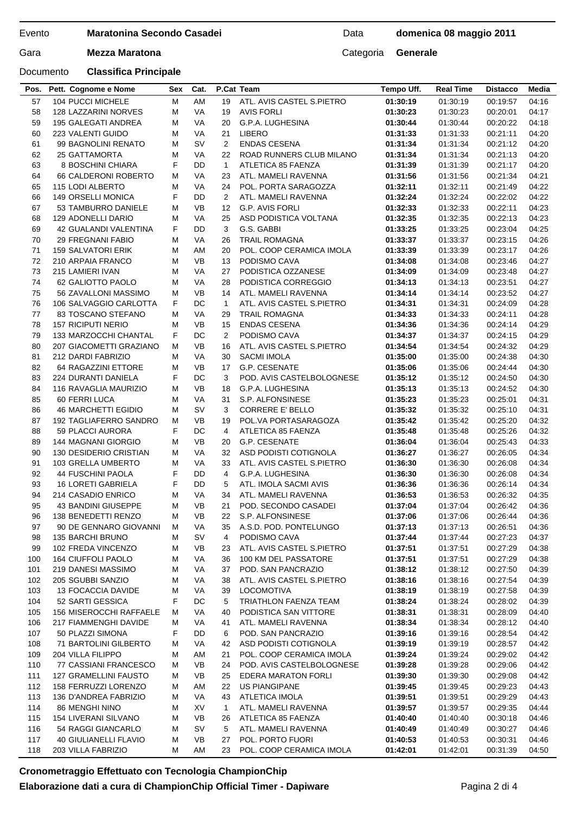### Evento

# **Maratonina Secondo Casadei**

# Documento **Classifica Principale**

# Data **domenica 08 maggio 2011**

Gara **Mezza Maratona Categoria Generale** 

| Pos.     | Pett. Cognome e Nome                    | Sex    | Cat.      |                | P.Cat Team                          | Tempo Uff.           | <b>Real Time</b>     | <b>Distacco</b>      | Media          |
|----------|-----------------------------------------|--------|-----------|----------------|-------------------------------------|----------------------|----------------------|----------------------|----------------|
| 57       | 104 PUCCI MICHELE                       | M      | AM        | 19             | ATL. AVIS CASTEL S.PIETRO           | 01:30:19             | 01:30:19             | 00:19:57             | 04:16          |
| 58       | <b>128 LAZZARINI NORVES</b>             | M      | VA        | 19             | <b>AVIS FORLI</b>                   | 01:30:23             | 01:30:23             | 00:20:01             | 04:17          |
| 59       | 195 GALEGATI ANDREA                     | М      | <b>VA</b> | 20             | G.P.A. LUGHESINA                    | 01:30:44             | 01:30:44             | 00:20:22             | 04:18          |
| 60       | 223 VALENTI GUIDO                       | М      | <b>VA</b> | 21             | <b>LIBERO</b>                       | 01:31:33             | 01:31:33             | 00:21:11             | 04:20          |
| 61       | 99 BAGNOLINI RENATO                     | М      | SV        | 2              | <b>ENDAS CESENA</b>                 | 01:31:34             | 01:31:34             | 00:21:12             | 04:20          |
| 62       | <b>25 GATTAMORTA</b>                    | М      | <b>VA</b> | 22             | ROAD RUNNERS CLUB MILANO            | 01:31:34             | 01:31:34             | 00:21:13             | 04:20          |
| 63       | 8 BOSCHINI CHIARA                       | F      | DD        | $\mathbf{1}$   | ATLETICA 85 FAENZA                  | 01:31:39             | 01:31:39             | 00:21:17             | 04:20          |
| 64       | 66 CALDERONI ROBERTO                    | M      | VA        | 23             | ATL. MAMELI RAVENNA                 | 01:31:56             | 01:31:56             | 00:21:34             | 04:21          |
| 65       | 115 LODI ALBERTO                        | М      | <b>VA</b> | 24             | POL. PORTA SARAGOZZA                | 01:32:11             | 01:32:11             | 00:21:49             | 04:22          |
| 66       | <b>149 ORSELLI MONICA</b>               | F      | DD        | $\overline{2}$ | ATL. MAMELI RAVENNA                 | 01:32:24             | 01:32:24             | 00:22:02             | 04:22          |
| 67       | 53 TAMBURRO DANIELE                     | М      | VB        | 12             | <b>G.P. AVIS FORLI</b>              | 01:32:33             | 01:32:33             | 00:22:11             | 04:23          |
| 68       | <b>129 ADONELLI DARIO</b>               | М      | <b>VA</b> | 25             | ASD PODISTICA VOLTANA               | 01:32:35             | 01:32:35             | 00:22:13             | 04:23          |
| 69       | 42 GUALANDI VALENTINA                   | F      | DD        | 3              | G.S. GABBI                          | 01:33:25             | 01:33:25             | 00:23:04             | 04:25          |
| 70       | <b>29 FREGNANI FABIO</b>                | M      | <b>VA</b> | 26             | <b>TRAIL ROMAGNA</b>                | 01:33:37             | 01:33:37             | 00:23:15             | 04:26          |
| 71       | <b>159 SALVATORI ERIK</b>               | М      | AM        | 20             | POL. COOP CERAMICA IMOLA            | 01:33:39             | 01:33:39             | 00:23:17             | 04:26          |
| 72       | 210 ARPAIA FRANCO                       | M      | <b>VB</b> | 13             | PODISMO CAVA                        | 01:34:08             | 01:34:08             | 00:23:46             | 04:27          |
| 73       | 215 LAMIERI IVAN                        | М      | VA        | 27             | PODISTICA OZZANESE                  | 01:34:09             | 01:34:09             | 00:23:48             | 04:27          |
| 74       | 62 GALIOTTO PAOLO                       | М      | <b>VA</b> | 28             | PODISTICA CORREGGIO                 | 01:34:13             | 01:34:13             | 00:23:51             | 04:27          |
| 75       | 56 ZAVALLONI MASSIMO                    | М      | VB        | 14             | ATL. MAMELI RAVENNA                 | 01:34:14             | 01:34:14             | 00:23:52             | 04:27          |
| 76       | 106 SALVAGGIO CARLOTTA                  | F      | DC        | $\mathbf{1}$   | ATL. AVIS CASTEL S.PIETRO           | 01:34:31             | 01:34:31             | 00:24:09             | 04:28          |
| 77       | 83 TOSCANO STEFANO                      | М      | <b>VA</b> | 29             | <b>TRAIL ROMAGNA</b>                | 01:34:33             | 01:34:33             | 00:24:11             | 04:28          |
| 78       | <b>157 RICIPUTI NERIO</b>               | M      | <b>VB</b> | 15             | <b>ENDAS CESENA</b>                 | 01:34:36             | 01:34:36             | 00:24:14             | 04:29          |
| 79       | 133 MARZOCCHI CHANTAL                   | F      | DC        | $\overline{2}$ | PODISMO CAVA                        | 01:34:37             | 01:34:37             | 00:24:15             | 04:29          |
| 80       | 207 GIACOMETTI GRAZIANO                 | M      | VB        | 16             | ATL. AVIS CASTEL S.PIETRO           | 01:34:54             | 01:34:54             | 00:24:32             | 04:29          |
| 81       | 212 DARDI FABRIZIO                      | M      | VA        | 30             | <b>SACMI IMOLA</b>                  | 01:35:00             | 01:35:00             | 00:24:38             | 04:30          |
| 82       | 64 RAGAZZINI ETTORE                     | М      | <b>VB</b> | 17             | G.P. CESENATE                       | 01:35:06             | 01:35:06             | 00:24:44             | 04:30          |
| 83       | 224 DURANTI DANIELA                     | F      | DC        | 3              | POD. AVIS CASTELBOLOGNESE           | 01:35:12             | 01:35:12             | 00:24:50             | 04:30          |
| 84       | 116 RAVAGLIA MAURIZIO                   | М      | <b>VB</b> | 18             | G.P.A. LUGHESINA                    | 01:35:13             | 01:35:13             | 00:24:52             | 04:30          |
| 85       | 60 FERRI LUCA                           | М      | VA        | 31             | S.P. ALFONSINESE                    | 01:35:23             | 01:35:23             | 00:25:01             | 04:31          |
| 86       | <b>46 MARCHETTI EGIDIO</b>              | M      | SV        | 3              | <b>CORRERE E' BELLO</b>             | 01:35:32             | 01:35:32             | 00:25:10             | 04:31          |
| 87       | <b>192 TAGLIAFERRO SANDRO</b>           | M<br>F | VB<br>DC  | 19             | POL.VA PORTASARAGOZA                | 01:35:42             | 01:35:42             | 00:25:20             | 04:32          |
| 88<br>89 | 59 PLACCI AURORA<br>144 MAGNANI GIORGIO | М      | <b>VB</b> | 4<br>20        | ATLETICA 85 FAENZA<br>G.P. CESENATE | 01:35:48<br>01:36:04 | 01:35:48<br>01:36:04 | 00:25:26<br>00:25:43 | 04:32<br>04:33 |
| 90       | 130 DESIDERIO CRISTIAN                  | M      | VA        | 32             | ASD PODISTI COTIGNOLA               | 01:36:27             | 01:36:27             | 00:26:05             | 04:34          |
| 91       | 103 GRELLA UMBERTO                      | M      | VA        | 33             | ATL. AVIS CASTEL S.PIETRO           | 01:36:30             | 01:36:30             | 00:26:08             | 04:34          |
| 92       | <b>44 FUSCHINI PAOLA</b>                | F      | DD        | $\overline{4}$ | G.P.A. LUGHESINA                    | 01:36:30             | 01:36:30             | 00:26:08             | 04:34          |
| 93       | <b>16 LORETI GABRIELA</b>               | F      | DD        | 5              | ATL. IMOLA SACMI AVIS               | 01:36:36             | 01:36:36             | 00:26:14             | 04:34          |
| 94       | 214 CASADIO ENRICO                      | М      | <b>VA</b> | 34             | ATL. MAMELI RAVENNA                 | 01:36:53             | 01:36:53             | 00:26:32             | 04:35          |
| 95       | 43 BANDINI GIUSEPPE                     | М      | <b>VB</b> | 21             | POD. SECONDO CASADEI                | 01:37:04             | 01:37:04             | 00:26:42             | 04:36          |
| 96       | 138 BENEDETTI RENZO                     | M      | VB        | 22             | S.P. ALFONSINESE                    | 01:37:06             | 01:37:06             | 00:26:44             | 04:36          |
| 97       | 90 DE GENNARO GIOVANNI                  | м      | VA        | 35             | A.S.D. POD. PONTELUNGO              | 01:37:13             | 01:37:13             | 00:26:51             | 04:36          |
| 98       | <b>135 BARCHI BRUNO</b>                 | М      | <b>SV</b> | 4              | PODISMO CAVA                        | 01:37:44             | 01:37:44             | 00:27:23             | 04:37          |
| 99       | 102 FREDA VINCENZO                      | М      | VB        | 23             | ATL. AVIS CASTEL S.PIETRO           | 01:37:51             | 01:37:51             | 00:27:29             | 04:38          |
| 100      | 164 CIUFFOLI PAOLO                      | М      | VA        | 36             | 100 KM DEL PASSATORE                | 01:37:51             | 01:37:51             | 00:27:29             | 04:38          |
| 101      | 219 DANESI MASSIMO                      | М      | VA        | 37             | POD. SAN PANCRAZIO                  | 01:38:12             | 01:38:12             | 00:27:50             | 04:39          |
| 102      | 205 SGUBBI SANZIO                       | М      | VA        | 38             | ATL. AVIS CASTEL S.PIETRO           | 01:38:16             | 01:38:16             | 00:27:54             | 04:39          |
| 103      | 13 FOCACCIA DAVIDE                      | M      | VA        | 39             | <b>LOCOMOTIVA</b>                   | 01:38:19             | 01:38:19             | 00:27:58             | 04:39          |
| 104      | 52 SARTI GESSICA                        | F      | DC        | 5              | TRIATHLON FAENZA TEAM               | 01:38:24             | 01:38:24             | 00:28:02             | 04:39          |
| 105      | 156 MISEROCCHI RAFFAELE                 | М      | VA        | 40             | PODISTICA SAN VITTORE               | 01:38:31             | 01:38:31             | 00:28:09             | 04:40          |
| 106      | 217 FIAMMENGHI DAVIDE                   | M      | VA        | 41             | ATL. MAMELI RAVENNA                 | 01:38:34             | 01:38:34             | 00:28:12             | 04:40          |
| 107      | 50 PLAZZI SIMONA                        | F      | DD        | 6              | POD. SAN PANCRAZIO                  | 01:39:16             | 01:39:16             | 00:28:54             | 04:42          |
| 108      | 71 BARTOLINI GILBERTO                   | М      | VA        | 42             | ASD PODISTI COTIGNOLA               | 01:39:19             | 01:39:19             | 00:28:57             | 04:42          |
| 109      | 204 VILLA FILIPPO                       | M      | ΑM        | 21             | POL. COOP CERAMICA IMOLA            | 01:39:24             | 01:39:24             | 00:29:02             | 04:42          |
| 110      | 77 CASSIANI FRANCESCO                   | M      | VB        | 24             | POD. AVIS CASTELBOLOGNESE           | 01:39:28             | 01:39:28             | 00:29:06             | 04:42          |
| 111      | <b>127 GRAMELLINI FAUSTO</b>            | м      | VB        | 25             | EDERA MARATON FORLI                 | 01:39:30             | 01:39:30             | 00:29:08             | 04:42          |
| 112      | 158 FERRUZZI LORENZO                    | М      | AM        | 22             | <b>US PIANGIPANE</b>                | 01:39:45             | 01:39:45             | 00:29:23             | 04:43          |
| 113      | 136 D'ANDREA FABRIZIO                   | М      | VA        | 43             | <b>ATLETICA IMOLA</b>               | 01:39:51             | 01:39:51             | 00:29:29             | 04:43          |
| 114      | <b>86 MENGHI NINO</b>                   | м      | XV        | 1              | ATL. MAMELI RAVENNA                 | 01:39:57             | 01:39:57             | 00:29:35             | 04:44          |
| 115      | 154 LIVERANI SILVANO                    | М      | VB        | 26             | ATLETICA 85 FAENZA                  | 01:40:40             | 01:40:40             | 00:30:18             | 04:46          |
| 116      | 54 RAGGI GIANCARLO                      | M      | <b>SV</b> | 5              | ATL. MAMELI RAVENNA                 | 01:40:49             | 01:40:49             | 00:30:27             | 04:46          |
| 117      | 40 GIULIANELLI FLAVIO                   | м      | VB        | 27             | POL. PORTO FUORI                    | 01:40:53             | 01:40:53             | 00:30:31             | 04:46          |
| 118      | 203 VILLA FABRIZIO                      | M      | AM        | 23             | POL. COOP CERAMICA IMOLA            | 01:42:01             | 01:42:01             | 00:31:39             | 04:50          |

# **Cronometraggio Effettuato con Tecnologia ChampionChip Elaborazione dati a cura di ChampionChip Official Timer - Dapiware**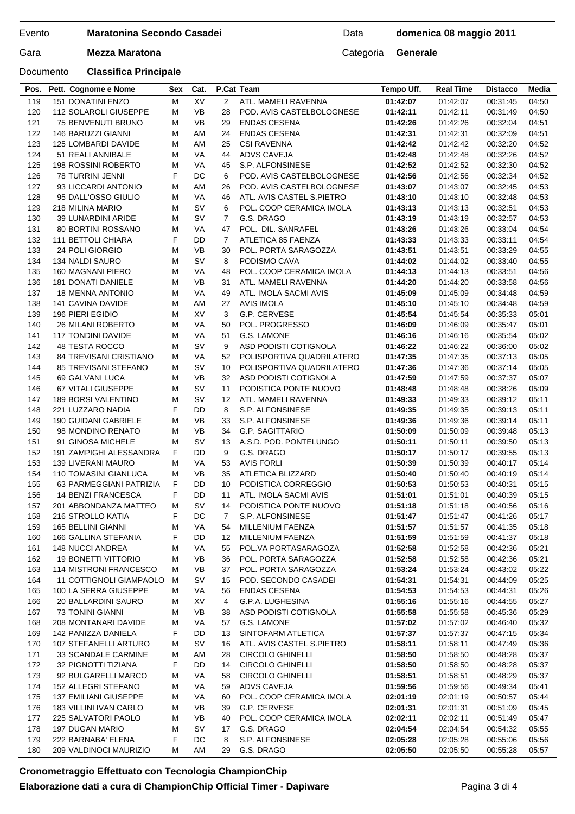#### Evento

# **Maratonina Secondo Casadei**

Data **domenica 08 maggio 2011**

Gara **Mezza Maratona Categoria Generale** 

## Documento **Classifica Principale**

| 119 | 151 DONATINI ENZO           | м | XV        | 2               | ATL. MAMELI RAVENNA       | 01:42:07 | 01:42:07 | 00:31:45 | 04:50 |
|-----|-----------------------------|---|-----------|-----------------|---------------------------|----------|----------|----------|-------|
| 120 | 112 SOLAROLI GIUSEPPE       | м | VB        | 28              | POD. AVIS CASTELBOLOGNESE | 01:42:11 | 01:42:11 | 00:31:49 | 04:50 |
| 121 | 75 BENVENUTI BRUNO          | M | VB        | 29              | <b>ENDAS CESENA</b>       | 01:42:26 | 01:42:26 | 00:32:04 | 04:51 |
| 122 | 146 BARUZZI GIANNI          | M | AM        | 24              | <b>ENDAS CESENA</b>       | 01:42:31 | 01:42:31 | 00:32:09 | 04:51 |
| 123 | 125 LOMBARDI DAVIDE         | М | AM        | 25              | <b>CSI RAVENNA</b>        | 01:42:42 | 01:42:42 | 00:32:20 | 04:52 |
| 124 | 51 REALI ANNIBALE           | м | VA        | 44              | ADVS CAVEJA               | 01:42:48 | 01:42:48 | 00:32:26 | 04:52 |
| 125 | <b>198 ROSSINI ROBERTO</b>  | M | VA        | 45              | S.P. ALFONSINESE          | 01:42:52 | 01:42:52 | 00:32:30 | 04:52 |
| 126 | 78 TURRINI JENNI            | F | DC        | 6               | POD. AVIS CASTELBOLOGNESE | 01:42:56 | 01:42:56 | 00:32:34 | 04:52 |
| 127 | 93 LICCARDI ANTONIO         | M | AM        | 26              | POD. AVIS CASTELBOLOGNESE | 01:43:07 | 01:43:07 | 00:32:45 | 04:53 |
| 128 | 95 DALL'OSSO GIULIO         | M | VA        | 46              | ATL. AVIS CASTEL S.PIETRO | 01:43:10 | 01:43:10 | 00:32:48 | 04:53 |
| 129 | 218 MILINA MARIO            | М | SV        | 6               | POL. COOP CERAMICA IMOLA  | 01:43:13 | 01:43:13 | 00:32:51 | 04:53 |
| 130 | 39 LUNARDINI ARIDE          | м | <b>SV</b> | $\overline{7}$  | G.S. DRAGO                | 01:43:19 | 01:43:19 | 00:32:57 | 04:53 |
| 131 | 80 BORTINI ROSSANO          | M | VA        | 47              | POL. DIL. SANRAFEL        | 01:43:26 | 01:43:26 | 00:33:04 | 04:54 |
| 132 | 111 BETTOLI CHIARA          | F | DD        | $\overline{7}$  | ATLETICA 85 FAENZA        | 01:43:33 | 01:43:33 | 00:33:11 | 04:54 |
| 133 | 24 POLI GIORGIO             | м | VB        | 30              | POL. PORTA SARAGOZZA      | 01:43:51 | 01:43:51 | 00:33:29 | 04:55 |
| 134 | 134 NALDI SAURO             | M | SV        | 8               | PODISMO CAVA              | 01:44:02 | 01:44:02 | 00:33:40 | 04:55 |
| 135 | 160 MAGNANI PIERO           | М | VA        | 48              | POL. COOP CERAMICA IMOLA  | 01:44:13 | 01:44:13 | 00:33:51 | 04:56 |
| 136 | 181 DONATI DANIELE          | M | VB        | 31              | ATL. MAMELI RAVENNA       | 01:44:20 | 01:44:20 | 00:33:58 | 04:56 |
| 137 | <b>18 MENNA ANTONIO</b>     | M | VA        | 49              | ATL. IMOLA SACMI AVIS     | 01:45:09 | 01:45:09 | 00:34:48 | 04:59 |
| 138 | 141 CAVINA DAVIDE           | м | AM        | 27              | AVIS IMOLA                | 01:45:10 | 01:45:10 | 00:34:48 | 04:59 |
| 139 | 196 PIERI EGIDIO            | м | XV        | 3               | G.P. CERVESE              | 01:45:54 | 01:45:54 | 00:35:33 | 05:01 |
| 140 | 26 MILANI ROBERTO           | M | VA        | 50              | POL. PROGRESSO            | 01:46:09 | 01:46:09 | 00:35:47 | 05:01 |
| 141 | <b>117 TONDINI DAVIDE</b>   | м | VA        | 51              | G.S. LAMONE               | 01:46:16 | 01:46:16 | 00:35:54 | 05:02 |
| 142 | <b>48 TESTA ROCCO</b>       | м | <b>SV</b> | 9               | ASD PODISTI COTIGNOLA     | 01:46:22 | 01:46:22 | 00:36:00 | 05:02 |
| 143 | 84 TREVISANI CRISTIANO      | M | VA        | 52              | POLISPORTIVA QUADRILATERO | 01:47:35 | 01:47:35 | 00:37:13 | 05:05 |
| 144 | <b>85 TREVISANI STEFANO</b> | м | SV        | 10              | POLISPORTIVA QUADRILATERO | 01:47:36 | 01:47:36 | 00:37:14 | 05:05 |
| 145 | 69 GALVANI LUCA             | M | VB        | 32              | ASD PODISTI COTIGNOLA     | 01:47:59 | 01:47:59 | 00:37:37 | 05:07 |
| 146 | 67 VITALI GIUSEPPE          | M | <b>SV</b> | 11              | PODISTICA PONTE NUOVO     | 01:48:48 | 01:48:48 | 00:38:26 | 05:09 |
| 147 | 189 BORSI VALENTINO         | M | <b>SV</b> | 12 <sup>2</sup> | ATL. MAMELI RAVENNA       | 01:49:33 | 01:49:33 | 00:39:12 | 05:11 |
| 148 | 221 LUZZARO NADIA           | F | DD        | 8               | S.P. ALFONSINESE          | 01:49:35 | 01:49:35 | 00:39:13 | 05:11 |
| 149 | 190 GUIDANI GABRIELE        | M | <b>VB</b> | 33              | S.P. ALFONSINESE          | 01:49:36 | 01:49:36 | 00:39:14 | 05:11 |
| 150 | 98 MONDINO RENATO           | м | VB        | 34              | G.P. SAGITTARIO           | 01:50:09 | 01:50:09 | 00:39:48 | 05:13 |
| 151 | 91 GINOSA MICHELE           | M | sv        | 13              | A.S.D. POD. PONTELUNGO    | 01:50:11 | 01:50:11 | 00:39:50 | 05:13 |
| 152 | 191 ZAMPIGHI ALESSANDRA     | F | DD        | 9               | G.S. DRAGO                | 01:50:17 | 01:50:17 | 00:39:55 | 05:13 |
| 153 | <b>139 LIVERANI MAURO</b>   | М | VA        | 53              | <b>AVIS FORLI</b>         | 01:50:39 | 01:50:39 | 00:40:17 | 05:14 |
| 154 | 110 TOMASINI GIANLUCA       | М | VB        | 35              | ATLETICA BLIZZARD         | 01:50:40 | 01:50:40 | 00:40:19 | 05:14 |
| 155 | 63 PARMEGGIANI PATRIZIA     | F | DD        | 10              | PODISTICA CORREGGIO       | 01:50:53 | 01:50:53 | 00:40:31 | 05:15 |
| 156 | 14 BENZI FRANCESCA          | F | DD        | 11              | ATL. IMOLA SACMI AVIS     | 01:51:01 | 01:51:01 | 00:40:39 | 05:15 |
| 157 | 201 ABBONDANZA MATTEO       | М | <b>SV</b> | 14              | PODISTICA PONTE NUOVO     | 01:51:18 | 01:51:18 | 00:40:56 | 05:16 |
| 158 | 216 STROLLO KATIA           | F | DC        | 7               | S.P. ALFONSINESE          | 01:51:47 | 01:51:47 | 00:41:26 | 05:17 |
| 159 | <b>165 BELLINI GIANNI</b>   | м | <b>VA</b> | 54              | MILLENIUM FAENZA          | 01:51:57 | 01:51:57 | 00:41:35 | 05:18 |
| 160 | 166 GALLINA STEFANIA        | F | DD        | 12              | MILLENIUM FAENZA          | 01:51:59 | 01:51:59 | 00:41:37 | 05:18 |
| 161 | 148 NUCCI ANDREA            | М | VA        | 55              | POL.VA PORTASARAGOZA      | 01:52:58 | 01:52:58 | 00:42:36 | 05:21 |
| 162 | <b>19 BONETTI VITTORIO</b>  | M | VB        | 36              | POL. PORTA SARAGOZZA      | 01:52:58 | 01:52:58 | 00:42:36 | 05:21 |
| 163 | 114 MISTRONI FRANCESCO      | M | VB        | 37              | POL. PORTA SARAGOZZA      | 01:53:24 | 01:53:24 | 00:43:02 | 05:22 |
| 164 | 11 COTTIGNOLI GIAMPAOLO     | M | S٧        | 15              | POD. SECONDO CASADEI      | 01:54:31 | 01:54:31 | 00:44:09 | 05:25 |
| 165 | 100 LA SERRA GIUSEPPE       | M | VA        | 56              | <b>ENDAS CESENA</b>       | 01:54:53 | 01:54:53 | 00:44:31 | 05:26 |
| 166 | 20 BALLARDINI SAURO         | M | XV        | 4               | G.P.A. LUGHESINA          | 01:55:16 | 01:55:16 | 00:44:55 | 05:27 |
| 167 | 73 TONINI GIANNI            | M | VB        | 38              | ASD PODISTI COTIGNOLA     | 01:55:58 | 01:55:58 | 00:45:36 | 05:29 |
| 168 | 208 MONTANARI DAVIDE        | M | VA        | 57              | G.S. LAMONE               | 01:57:02 | 01:57:02 | 00:46:40 | 05:32 |
| 169 | 142 PANIZZA DANIELA         | F | DD        | 13              | SINTOFARM ATLETICA        | 01:57:37 | 01:57:37 | 00:47:15 | 05:34 |
| 170 | 107 STEFANELLI ARTURO       | M | sv        | 16              | ATL. AVIS CASTEL S.PIETRO | 01:58:11 | 01:58:11 | 00:47:49 | 05:36 |
| 171 | 33 SCANDALE CARMINE         | M | ΑM        | 28              | <b>CIRCOLO GHINELLI</b>   | 01:58:50 | 01:58:50 | 00:48:28 | 05:37 |
| 172 | 32 PIGNOTTI TIZIANA         | F | DD        | 14              | <b>CIRCOLO GHINELLI</b>   | 01:58:50 | 01:58:50 | 00:48:28 | 05:37 |
| 173 | 92 BULGARELLI MARCO         | M | VA        | 58              | <b>CIRCOLO GHINELLI</b>   | 01:58:51 | 01:58:51 | 00:48:29 | 05:37 |
| 174 | 152 ALLEGRI STEFANO         | M | VA        | 59              | ADVS CAVEJA               | 01:59:56 | 01:59:56 | 00:49:34 | 05:41 |
| 175 | 137 EMILIANI GIUSEPPE       | M | VA        | 60              | POL. COOP CERAMICA IMOLA  | 02:01:19 | 02:01:19 | 00:50:57 | 05:44 |
| 176 | 183 VILLINI IVAN CARLO      | M | VB        | 39              | G.P. CERVESE              | 02:01:31 | 02:01:31 | 00:51:09 | 05:45 |
| 177 | 225 SALVATORI PAOLO         | M | VB        | 40              | POL. COOP CERAMICA IMOLA  | 02:02:11 | 02:02:11 | 00:51:49 | 05:47 |
| 178 | 197 DUGAN MARIO             | M | S٧        | 17              | G.S. DRAGO                | 02:04:54 | 02:04:54 | 00:54:32 | 05:55 |
| 179 | 222 BARNABA' ELENA          | F | DC        | 8               | S.P. ALFONSINESE          | 02:05:28 | 02:05:28 | 00:55:06 | 05:56 |
|     |                             |   |           |                 |                           |          |          |          |       |
| 180 | 209 VALDINOCI MAURIZIO      | М | ΑM        | 29              | G.S. DRAGO                | 02:05:50 | 02:05:50 | 00:55:28 | 05:57 |

**Pos. Pett. Cognome e Nome Sex Cat. P.Cat Team Tempo Uff. Real Time Distacco Media**